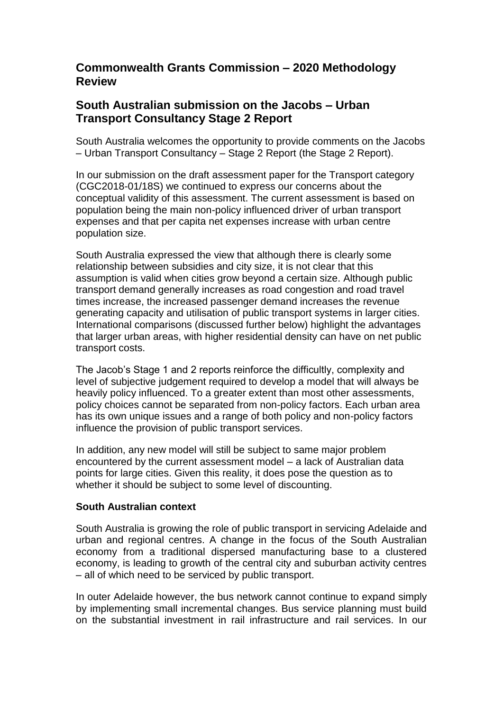## **Commonwealth Grants Commission – 2020 Methodology Review**

# **South Australian submission on the Jacobs – Urban Transport Consultancy Stage 2 Report**

South Australia welcomes the opportunity to provide comments on the Jacobs – Urban Transport Consultancy – Stage 2 Report (the Stage 2 Report).

In our submission on the draft assessment paper for the Transport category (CGC2018-01/18S) we continued to express our concerns about the conceptual validity of this assessment. The current assessment is based on population being the main non-policy influenced driver of urban transport expenses and that per capita net expenses increase with urban centre population size.

South Australia expressed the view that although there is clearly some relationship between subsidies and city size, it is not clear that this assumption is valid when cities grow beyond a certain size. Although public transport demand generally increases as road congestion and road travel times increase, the increased passenger demand increases the revenue generating capacity and utilisation of public transport systems in larger cities. International comparisons (discussed further below) highlight the advantages that larger urban areas, with higher residential density can have on net public transport costs.

The Jacob's Stage 1 and 2 reports reinforce the difficultly, complexity and level of subjective judgement required to develop a model that will always be heavily policy influenced. To a greater extent than most other assessments, policy choices cannot be separated from non-policy factors. Each urban area has its own unique issues and a range of both policy and non-policy factors influence the provision of public transport services.

In addition, any new model will still be subject to same major problem encountered by the current assessment model – a lack of Australian data points for large cities. Given this reality, it does pose the question as to whether it should be subject to some level of discounting.

## **South Australian context**

South Australia is growing the role of public transport in servicing Adelaide and urban and regional centres. A change in the focus of the South Australian economy from a traditional dispersed manufacturing base to a clustered economy, is leading to growth of the central city and suburban activity centres – all of which need to be serviced by public transport.

In outer Adelaide however, the bus network cannot continue to expand simply by implementing small incremental changes. Bus service planning must build on the substantial investment in rail infrastructure and rail services. In our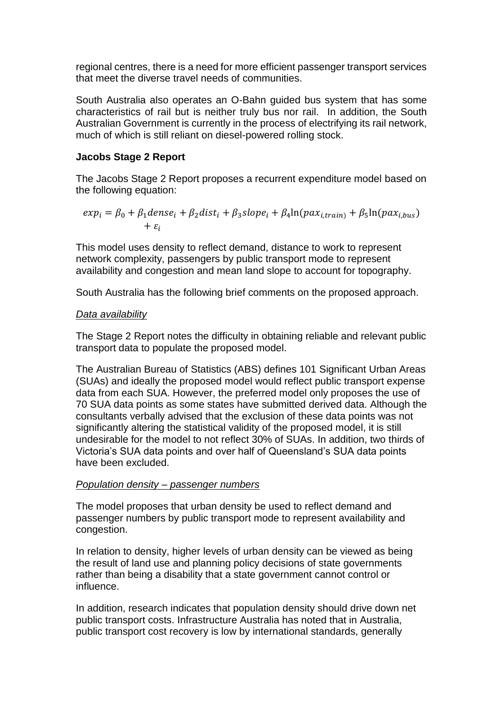regional centres, there is a need for more efficient passenger transport services that meet the diverse travel needs of communities.

South Australia also operates an O-Bahn guided bus system that has some characteristics of rail but is neither truly bus nor rail. In addition, the South Australian Government is currently in the process of electrifying its rail network, much of which is still reliant on diesel-powered rolling stock.

## **Jacobs Stage 2 Report**

The Jacobs Stage 2 Report proposes a recurrent expenditure model based on the following equation:

$$
exp_i = \beta_0 + \beta_1 dense_i + \beta_2 dist_i + \beta_3 slope_i + \beta_4 ln(pax_{i, train}) + \beta_5 ln(pax_{i, bus}) + \varepsilon_i
$$

This model uses density to reflect demand, distance to work to represent network complexity, passengers by public transport mode to represent availability and congestion and mean land slope to account for topography.

South Australia has the following brief comments on the proposed approach.

#### *Data availability*

The Stage 2 Report notes the difficulty in obtaining reliable and relevant public transport data to populate the proposed model.

The Australian Bureau of Statistics (ABS) defines 101 Significant Urban Areas (SUAs) and ideally the proposed model would reflect public transport expense data from each SUA. However, the preferred model only proposes the use of 70 SUA data points as some states have submitted derived data. Although the consultants verbally advised that the exclusion of these data points was not significantly altering the statistical validity of the proposed model, it is still undesirable for the model to not reflect 30% of SUAs. In addition, two thirds of Victoria's SUA data points and over half of Queensland's SUA data points have been excluded.

#### *Population density – passenger numbers*

The model proposes that urban density be used to reflect demand and passenger numbers by public transport mode to represent availability and congestion.

In relation to density, higher levels of urban density can be viewed as being the result of land use and planning policy decisions of state governments rather than being a disability that a state government cannot control or influence.

In addition, research indicates that population density should drive down net public transport costs. Infrastructure Australia has noted that in Australia, public transport cost recovery is low by international standards, generally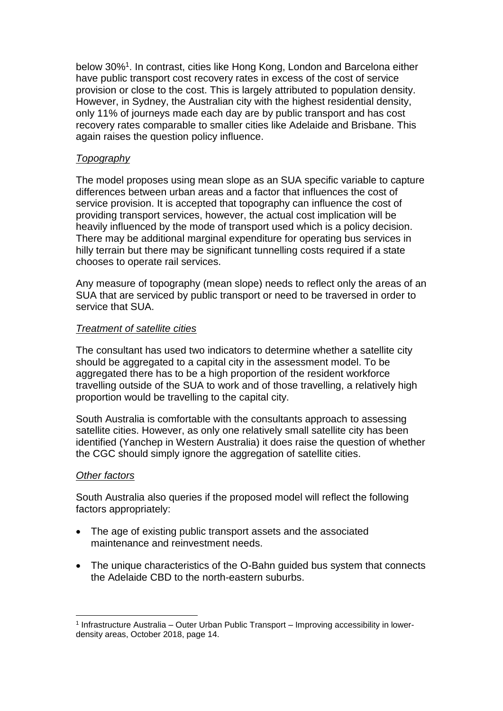below 30%<sup>1</sup>. In contrast, cities like Hong Kong, London and Barcelona either have public transport cost recovery rates in excess of the cost of service provision or close to the cost. This is largely attributed to population density. However, in Sydney, the Australian city with the highest residential density, only 11% of journeys made each day are by public transport and has cost recovery rates comparable to smaller cities like Adelaide and Brisbane. This again raises the question policy influence.

## *Topography*

The model proposes using mean slope as an SUA specific variable to capture differences between urban areas and a factor that influences the cost of service provision. It is accepted that topography can influence the cost of providing transport services, however, the actual cost implication will be heavily influenced by the mode of transport used which is a policy decision. There may be additional marginal expenditure for operating bus services in hilly terrain but there may be significant tunnelling costs required if a state chooses to operate rail services.

Any measure of topography (mean slope) needs to reflect only the areas of an SUA that are serviced by public transport or need to be traversed in order to service that SUA.

#### *Treatment of satellite cities*

The consultant has used two indicators to determine whether a satellite city should be aggregated to a capital city in the assessment model. To be aggregated there has to be a high proportion of the resident workforce travelling outside of the SUA to work and of those travelling, a relatively high proportion would be travelling to the capital city.

South Australia is comfortable with the consultants approach to assessing satellite cities. However, as only one relatively small satellite city has been identified (Yanchep in Western Australia) it does raise the question of whether the CGC should simply ignore the aggregation of satellite cities.

#### *Other factors*

 $\overline{a}$ 

South Australia also queries if the proposed model will reflect the following factors appropriately:

- The age of existing public transport assets and the associated maintenance and reinvestment needs.
- The unique characteristics of the O-Bahn quided bus system that connects the Adelaide CBD to the north-eastern suburbs.

<sup>1</sup> Infrastructure Australia – Outer Urban Public Transport – Improving accessibility in lowerdensity areas, October 2018, page 14.